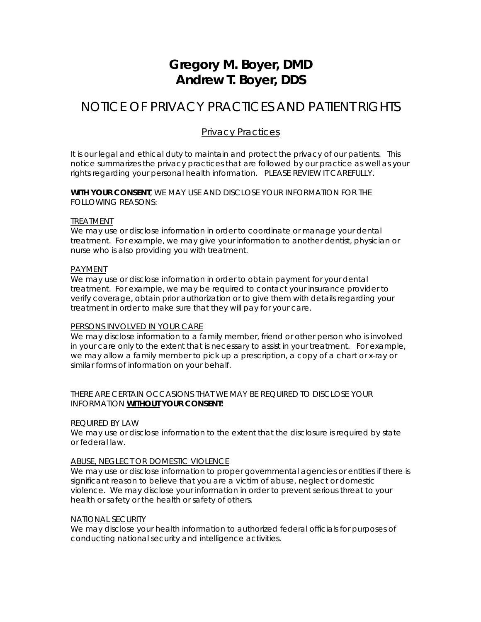# **Gregory M. Boyer, DMD Andrew T. Boyer, DDS**

# NOTICE OF PRIVACY PRACTICES AND PATIENT RIGHTS

## Privacy Practices

It is our legal and ethical duty to maintain and protect the privacy of our patients. This notice summarizes the privacy practices that are followed by our practice as well as your rights regarding your personal health information. PLEASE REVIEW IT CAREFULLY.

*WITH YOUR CONSENT*, WE MAY USE AND DISCLOSE YOUR INFORMATION FOR THE FOLLOWING REASONS:

#### *TREATMENT*

We may use or disclose information in order to coordinate or manage your dental treatment. For example, we may give your information to another dentist, physician or nurse who is also providing you with treatment.

#### *PAYMENT*

We may use or disclose information in order to obtain payment for your dental treatment. For example, we may be required to contact your insurance provider to verify coverage, obtain prior authorization or to give them with details regarding your treatment in order to make sure that they will pay for your care.

#### *PERSONS INVOLVED IN YOUR CARE*

We may disclose information to a family member, friend or other person who is involved in your care only to the extent that is necessary to assist in your treatment. For example, we may allow a family member to pick up a prescription, a copy of a chart or x-ray or similar forms of information on your behalf.

#### THERE ARE CERTAIN OCCASIONS THAT WE MAY BE REQUIRED TO DISCLOSE YOUR INFORMATION *WITHOUT YOUR CONSENT:*

#### *REQUIRED BY LAW*

We may use or disclose information to the extent that the disclosure is required by state or federal law.

#### *ABUSE, NEGLECT OR DOMESTIC VIOLENCE*

We may use or disclose information to proper governmental agencies or entities if there is significant reason to believe that you are a victim of abuse, neglect or domestic violence. We may disclose your information in order to prevent serious threat to your health or safety or the health or safety of others.

#### *NATIONAL SECURITY*

We may disclose your health information to authorized federal officials for purposes of conducting national security and intelligence activities.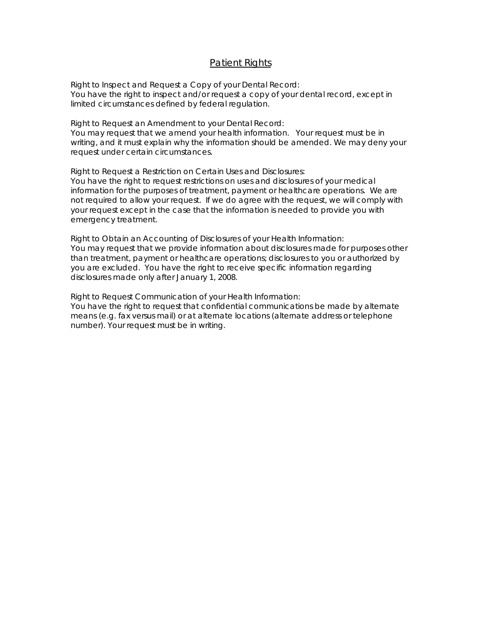### Patient Rights

*Right to Inspect and Request a Copy of your Dental Record*: You have the right to inspect and/or request a copy of your dental record, except in limited circumstances defined by federal regulation.

*Right to Request an Amendment to your Dental Record*: You may request that we amend your health information. Your request must be in writing, and it must explain why the information should be amended. We may deny your request under certain circumstances.

*Right to Request a Restriction on Certain Uses and Disclosures:*

You have the right to request restrictions on uses and disclosures of your medical information for the purposes of treatment, payment or healthcare operations. We are not required to allow your request. If we do agree with the request, we will comply with your request except in the case that the information is needed to provide you with emergency treatment.

*Right to Obtain an Accounting of Disclosures of your Health Information:* You may request that we provide information about disclosures made for purposes other than treatment, payment or healthcare operations; disclosures to you or authorized by you are excluded. You have the right to receive specific information regarding disclosures made only after January 1, 2008.

*Right to Request Communication of your Health Information:*  You have the right to request that confidential communications be made by alternate means (e.g. fax versus mail) or at alternate locations (alternate address or telephone number). Your request must be in writing.